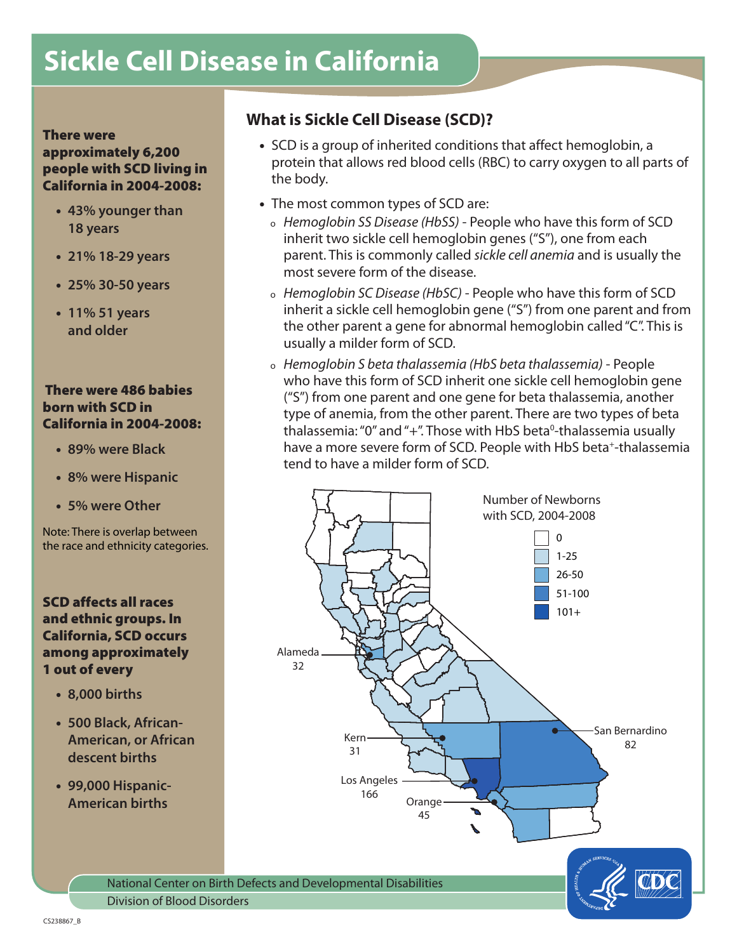# **Sickle Cell Disease in California**

### There were

### approximately 6,200 people with SCD living in California in 2004-2008:

- **43% younger than 18 years**
- **21% 18-29 years**
- **25% 30-50 years**
- **11% 51 years and older**

### There were 486 babies born with SCD in California in 2004-2008:

- **89% were Black**
- **8% were Hispanic**
- **5% were Other**

Note: There is overlap between the race and ethnicity categories.

### SCD affects all races and ethnic groups. In California, SCD occurs among approximately 1 out of every

- **8,000 births**
- **500 Black, African-American, or African descent births**
- **99,000 Hispanic-American births**

## **What is Sickle Cell Disease (SCD)?**

- SCD is a group of inherited conditions that affect hemoglobin, a protein that allows red blood cells (RBC) to carry oxygen to all parts of the body.
- The most common types of SCD are:
	- <sup>ο</sup> *Hemoglobin SS Disease (HbSS)* People who have this form of SCD inherit two sickle cell hemoglobin genes ("S"), one from each parent. This is commonly called *sickle cell anemia* and is usually the most severe form of the disease.
	- <sup>ο</sup> *Hemoglobin SC Disease (HbSC)* People who have this form of SCD inherit a sickle cell hemoglobin gene ("S") from one parent and from the other parent a gene for abnormal hemoglobin called "C". This is usually a milder form of SCD.
	- <sup>ο</sup> *Hemoglobin S beta thalassemia (HbS beta thalassemia)* People who have this form of SCD inherit one sickle cell hemoglobin gene ("S") from one parent and one gene for beta thalassemia, another type of anemia, from the other parent. There are two types of beta thalassemia: "0" and "+". Those with HbS beta<sup>0</sup>-thalassemia usually have a more severe form of SCD. People with HbS beta<sup>+</sup>-thalassemia tend to have a milder form of SCD.